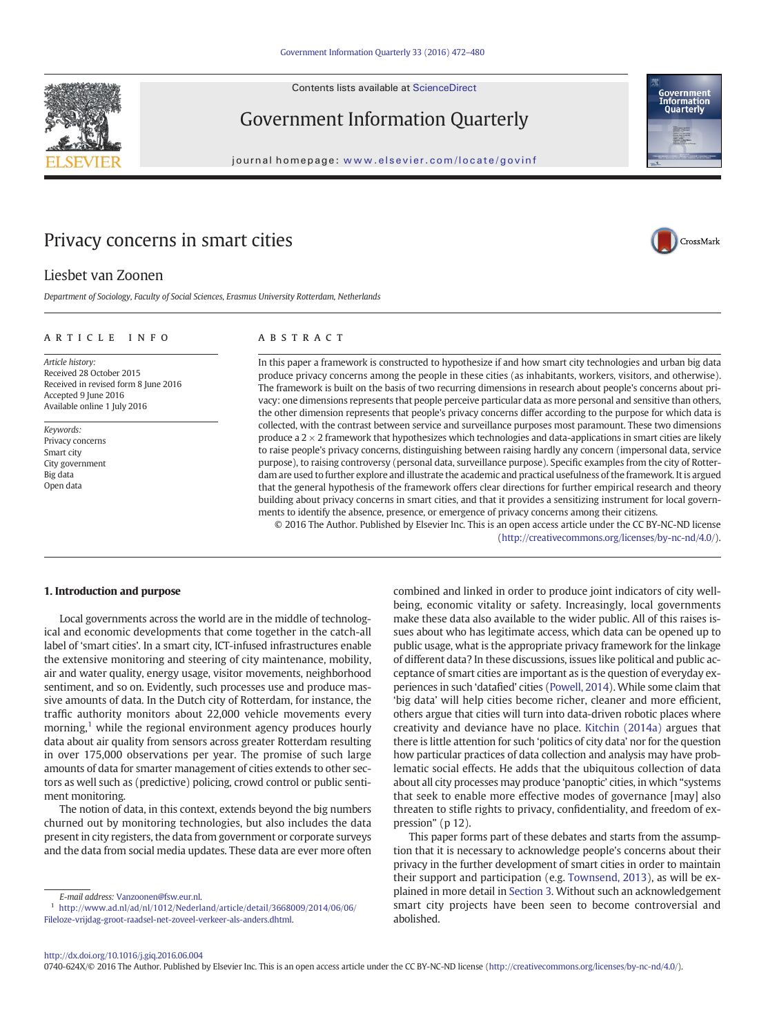Contents lists available at ScienceDirect





CrossMark

## Government Information Quarterly

journal homepage: <www.elsevier.com/locate/govinf>

# Privacy concerns in smart cities

## Liesbet van Zoonen

Department of Sociology, Faculty of Social Sciences, Erasmus University Rotterdam, Netherlands

#### article info abstract

Article history: Received 28 October 2015 Received in revised form 8 June 2016 Accepted 9 June 2016 Available online 1 July 2016

Keywords: Privacy concerns Smart city City government Big data Open data

In this paper a framework is constructed to hypothesize if and how smart city technologies and urban big data produce privacy concerns among the people in these cities (as inhabitants, workers, visitors, and otherwise). The framework is built on the basis of two recurring dimensions in research about people's concerns about privacy: one dimensions represents that people perceive particular data as more personal and sensitive than others, the other dimension represents that people's privacy concerns differ according to the purpose for which data is collected, with the contrast between service and surveillance purposes most paramount. These two dimensions produce a  $2 \times 2$  framework that hypothesizes which technologies and data-applications in smart cities are likely to raise people's privacy concerns, distinguishing between raising hardly any concern (impersonal data, service purpose), to raising controversy (personal data, surveillance purpose). Specific examples from the city of Rotterdam are used to further explore and illustrate the academic and practical usefulness of the framework. It is argued that the general hypothesis of the framework offers clear directions for further empirical research and theory building about privacy concerns in smart cities, and that it provides a sensitizing instrument for local governments to identify the absence, presence, or emergence of privacy concerns among their citizens.

© 2016 The Author. Published by Elsevier Inc. This is an open access article under the CC BY-NC-ND license (<http://creativecommons.org/licenses/by-nc-nd/4.0/>).

#### 1. Introduction and purpose

Local governments across the world are in the middle of technological and economic developments that come together in the catch-all label of 'smart cities'. In a smart city, ICT-infused infrastructures enable the extensive monitoring and steering of city maintenance, mobility, air and water quality, energy usage, visitor movements, neighborhood sentiment, and so on. Evidently, such processes use and produce massive amounts of data. In the Dutch city of Rotterdam, for instance, the traffic authority monitors about 22,000 vehicle movements every morning, $<sup>1</sup>$  while the regional environment agency produces hourly</sup> data about air quality from sensors across greater Rotterdam resulting in over 175,000 observations per year. The promise of such large amounts of data for smarter management of cities extends to other sectors as well such as (predictive) policing, crowd control or public sentiment monitoring.

The notion of data, in this context, extends beyond the big numbers churned out by monitoring technologies, but also includes the data present in city registers, the data from government or corporate surveys and the data from social media updates. These data are ever more often

combined and linked in order to produce joint indicators of city wellbeing, economic vitality or safety. Increasingly, local governments make these data also available to the wider public. All of this raises issues about who has legitimate access, which data can be opened up to public usage, what is the appropriate privacy framework for the linkage of different data? In these discussions, issues like political and public acceptance of smart cities are important as is the question of everyday experiences in such 'datafied' cities ([Powell, 2014\)](#page-7-0). While some claim that 'big data' will help cities become richer, cleaner and more efficient, others argue that cities will turn into data-driven robotic places where creativity and deviance have no place. [Kitchin \(2014a\)](#page-7-0) argues that there is little attention for such 'politics of city data' nor for the question how particular practices of data collection and analysis may have problematic social effects. He adds that the ubiquitous collection of data about all city processes may produce 'panoptic' cities, in which "systems that seek to enable more effective modes of governance [may] also threaten to stifle rights to privacy, confidentiality, and freedom of expression" (p 12).

This paper forms part of these debates and starts from the assumption that it is necessary to acknowledge people's concerns about their privacy in the further development of smart cities in order to maintain their support and participation (e.g. [Townsend, 2013](#page-8-0)), as will be explained in more detail in [Section 3.](#page-1-0) Without such an acknowledgement smart city projects have been seen to become controversial and abolished.

<http://dx.doi.org/10.1016/j.giq.2016.06.004>

0740-624X/© 2016 The Author. Published by Elsevier Inc. This is an open access article under the CC BY-NC-ND license [\(http://creativecommons.org/licenses/by-nc-nd/4.0/\)](http://creativecommons.org/licenses/by-nc-nd/4.0/).

E-mail address: [Vanzoonen@fsw.eur.nl.](mailto:Vanzoonen@fsw.eur.nl)

<sup>1</sup> [http://www.ad.nl/ad/nl/1012/Nederland/article/detail/3668009/2014/06/06/](http://www.ad.nl/ad/nl/1012/Nederland/article/detail/3668009/2014/06/06/Fileloze-vrijdag-groot-raadsel-net-zoveel-verkeer-als-anders.dhtml)

[Fileloze-vrijdag-groot-raadsel-net-zoveel-verkeer-als-anders.dhtml.](http://www.ad.nl/ad/nl/1012/Nederland/article/detail/3668009/2014/06/06/Fileloze-vrijdag-groot-raadsel-net-zoveel-verkeer-als-anders.dhtml)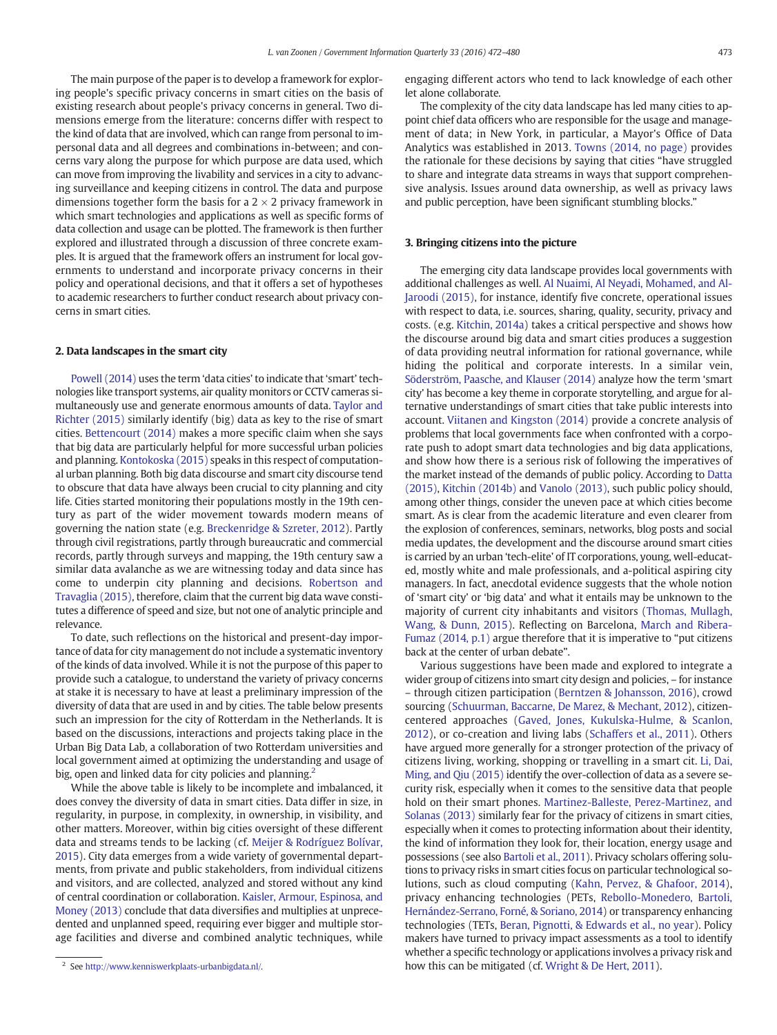<span id="page-1-0"></span>The main purpose of the paper is to develop a framework for exploring people's specific privacy concerns in smart cities on the basis of existing research about people's privacy concerns in general. Two dimensions emerge from the literature: concerns differ with respect to the kind of data that are involved, which can range from personal to impersonal data and all degrees and combinations in-between; and concerns vary along the purpose for which purpose are data used, which can move from improving the livability and services in a city to advancing surveillance and keeping citizens in control. The data and purpose dimensions together form the basis for a  $2 \times 2$  privacy framework in which smart technologies and applications as well as specific forms of data collection and usage can be plotted. The framework is then further explored and illustrated through a discussion of three concrete examples. It is argued that the framework offers an instrument for local governments to understand and incorporate privacy concerns in their policy and operational decisions, and that it offers a set of hypotheses to academic researchers to further conduct research about privacy concerns in smart cities.

#### 2. Data landscapes in the smart city

[Powell \(2014\)](#page-7-0) uses the term 'data cities' to indicate that 'smart' technologies like transport systems, air quality monitors or CCTV cameras simultaneously use and generate enormous amounts of data. [Taylor and](#page-8-0) [Richter \(2015\)](#page-8-0) similarly identify (big) data as key to the rise of smart cities. [Bettencourt \(2014\)](#page-7-0) makes a more specific claim when she says that big data are particularly helpful for more successful urban policies and planning. [Kontokoska \(2015\)](#page-7-0) speaks in this respect of computational urban planning. Both big data discourse and smart city discourse tend to obscure that data have always been crucial to city planning and city life. Cities started monitoring their populations mostly in the 19th century as part of the wider movement towards modern means of governing the nation state (e.g. [Breckenridge & Szreter, 2012\)](#page-7-0). Partly through civil registrations, partly through bureaucratic and commercial records, partly through surveys and mapping, the 19th century saw a similar data avalanche as we are witnessing today and data since has come to underpin city planning and decisions. [Robertson and](#page-8-0) [Travaglia \(2015\)](#page-8-0), therefore, claim that the current big data wave constitutes a difference of speed and size, but not one of analytic principle and relevance.

To date, such reflections on the historical and present-day importance of data for city management do not include a systematic inventory of the kinds of data involved. While it is not the purpose of this paper to provide such a catalogue, to understand the variety of privacy concerns at stake it is necessary to have at least a preliminary impression of the diversity of data that are used in and by cities. The table below presents such an impression for the city of Rotterdam in the Netherlands. It is based on the discussions, interactions and projects taking place in the Urban Big Data Lab, a collaboration of two Rotterdam universities and local government aimed at optimizing the understanding and usage of big, open and linked data for city policies and planning.<sup>2</sup>

While the above table is likely to be incomplete and imbalanced, it does convey the diversity of data in smart cities. Data differ in size, in regularity, in purpose, in complexity, in ownership, in visibility, and other matters. Moreover, within big cities oversight of these different data and streams tends to be lacking (cf. [Meijer & Rodríguez Bolívar,](#page-7-0) [2015](#page-7-0)). City data emerges from a wide variety of governmental departments, from private and public stakeholders, from individual citizens and visitors, and are collected, analyzed and stored without any kind of central coordination or collaboration. [Kaisler, Armour, Espinosa, and](#page-7-0) [Money \(2013\)](#page-7-0) conclude that data diversifies and multiplies at unprecedented and unplanned speed, requiring ever bigger and multiple storage facilities and diverse and combined analytic techniques, while

engaging different actors who tend to lack knowledge of each other let alone collaborate.

The complexity of the city data landscape has led many cities to appoint chief data officers who are responsible for the usage and management of data; in New York, in particular, a Mayor's Office of Data Analytics was established in 2013. [Towns \(2014, no page\)](#page-8-0) provides the rationale for these decisions by saying that cities "have struggled to share and integrate data streams in ways that support comprehensive analysis. Issues around data ownership, as well as privacy laws and public perception, have been significant stumbling blocks."

#### 3. Bringing citizens into the picture

The emerging city data landscape provides local governments with additional challenges as well. [Al Nuaimi, Al Neyadi, Mohamed, and Al-](#page-7-0)[Jaroodi \(2015\),](#page-7-0) for instance, identify five concrete, operational issues with respect to data, i.e. sources, sharing, quality, security, privacy and costs. (e.g. [Kitchin, 2014a\)](#page-7-0) takes a critical perspective and shows how the discourse around big data and smart cities produces a suggestion of data providing neutral information for rational governance, while hiding the political and corporate interests. In a similar vein, [Söderström, Paasche, and Klauser \(2014\)](#page-8-0) analyze how the term 'smart city' has become a key theme in corporate storytelling, and argue for alternative understandings of smart cities that take public interests into account. [Viitanen and Kingston \(2014\)](#page-8-0) provide a concrete analysis of problems that local governments face when confronted with a corporate push to adopt smart data technologies and big data applications, and show how there is a serious risk of following the imperatives of the market instead of the demands of public policy. According to [Datta](#page-7-0) [\(2015\)](#page-7-0), [Kitchin \(2014b\)](#page-7-0) and [Vanolo \(2013\),](#page-8-0) such public policy should, among other things, consider the uneven pace at which cities become smart. As is clear from the academic literature and even clearer from the explosion of conferences, seminars, networks, blog posts and social media updates, the development and the discourse around smart cities is carried by an urban 'tech-elite' of IT corporations, young, well-educated, mostly white and male professionals, and a-political aspiring city managers. In fact, anecdotal evidence suggests that the whole notion of 'smart city' or 'big data' and what it entails may be unknown to the majority of current city inhabitants and visitors ([Thomas, Mullagh,](#page-8-0) [Wang, & Dunn, 2015](#page-8-0)). Reflecting on Barcelona, [March and Ribera-](#page-7-0)[Fumaz \(2014, p.1\)](#page-7-0) argue therefore that it is imperative to "put citizens back at the center of urban debate".

Various suggestions have been made and explored to integrate a wider group of citizens into smart city design and policies, – for instance – through citizen participation [\(Berntzen & Johansson, 2016\)](#page-7-0), crowd sourcing ([Schuurman, Baccarne, De Marez, & Mechant, 2012](#page-8-0)), citizencentered approaches [\(Gaved, Jones, Kukulska-Hulme, & Scanlon,](#page-7-0) [2012\)](#page-7-0), or co-creation and living labs [\(Schaffers et al., 2011](#page-8-0)). Others have argued more generally for a stronger protection of the privacy of citizens living, working, shopping or travelling in a smart cit. [Li, Dai,](#page-7-0) [Ming, and Qiu \(2015\)](#page-7-0) identify the over-collection of data as a severe security risk, especially when it comes to the sensitive data that people hold on their smart phones. [Martinez-Balleste, Perez-Martinez, and](#page-7-0) [Solanas \(2013\)](#page-7-0) similarly fear for the privacy of citizens in smart cities, especially when it comes to protecting information about their identity, the kind of information they look for, their location, energy usage and possessions (see also [Bartoli et al., 2011](#page-7-0)). Privacy scholars offering solutions to privacy risks in smart cities focus on particular technological solutions, such as cloud computing [\(Kahn, Pervez, & Ghafoor, 2014](#page-7-0)), privacy enhancing technologies (PETs, [Rebollo-Monedero, Bartoli,](#page-8-0) [Hernández-Serrano, Forné, & Soriano, 2014](#page-8-0)) or transparency enhancing technologies (TETs, [Beran, Pignotti, & Edwards et al., no year](#page-7-0)). Policy makers have turned to privacy impact assessments as a tool to identify whether a specific technology or applications involves a privacy risk and <sup>2</sup> See <http://www.kenniswerkplaats-urbanbigdata.nl/>. **2011** how this can be mitigated (cf. [Wright & De Hert, 2011](#page-8-0)).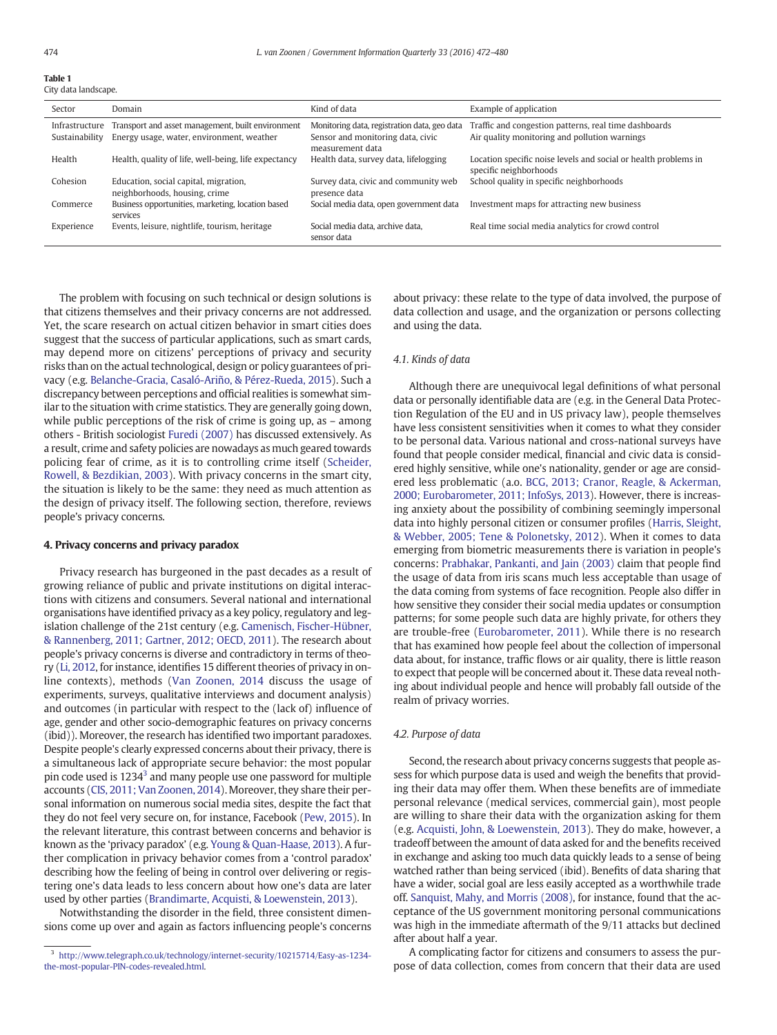| Sector         | Domain                                                                 | Kind of data                                          | Example of application                                                                    |
|----------------|------------------------------------------------------------------------|-------------------------------------------------------|-------------------------------------------------------------------------------------------|
| Infrastructure | Transport and asset management, built environment                      | Monitoring data, registration data, geo data          | Traffic and congestion patterns, real time dashboards                                     |
| Sustainability | Energy usage, water, environment, weather                              | Sensor and monitoring data, civic<br>measurement data | Air quality monitoring and pollution warnings                                             |
| Health         | Health, quality of life, well-being, life expectancy                   | Health data, survey data, lifelogging                 | Location specific noise levels and social or health problems in<br>specific neighborhoods |
| Cohesion       | Education, social capital, migration,<br>neighborhoods, housing, crime | Survey data, civic and community web<br>presence data | School quality in specific neighborhoods                                                  |
| Commerce       | Business opportunities, marketing, location based                      | Social media data, open government data               | Investment maps for attracting new business                                               |

sensor data

<span id="page-2-0"></span>City data landscape.

services

The problem with focusing on such technical or design solutions is that citizens themselves and their privacy concerns are not addressed. Yet, the scare research on actual citizen behavior in smart cities does suggest that the success of particular applications, such as smart cards, may depend more on citizens' perceptions of privacy and security risks than on the actual technological, design or policy guarantees of privacy (e.g. [Belanche-Gracia, Casaló-Ariño, & Pérez-Rueda, 2015](#page-7-0)). Such a discrepancy between perceptions and official realities is somewhat similar to the situation with crime statistics. They are generally going down, while public perceptions of the risk of crime is going up, as – among others - British sociologist [Furedi \(2007\)](#page-7-0) has discussed extensively. As a result, crime and safety policies are nowadays as much geared towards policing fear of crime, as it is to controlling crime itself [\(Scheider,](#page-8-0) [Rowell, & Bezdikian, 2003](#page-8-0)). With privacy concerns in the smart city, the situation is likely to be the same: they need as much attention as the design of privacy itself. The following section, therefore, reviews

Experience Events, leisure, nightlife, tourism, heritage Social media data, archive data,

#### 4. Privacy concerns and privacy paradox

people's privacy concerns.

Privacy research has burgeoned in the past decades as a result of growing reliance of public and private institutions on digital interactions with citizens and consumers. Several national and international organisations have identified privacy as a key policy, regulatory and legislation challenge of the 21st century (e.g. [Camenisch, Fischer-Hübner,](#page-7-0) [& Rannenberg, 2011; Gartner, 2012; OECD, 2011\)](#page-7-0). The research about people's privacy concerns is diverse and contradictory in terms of theory [\(Li, 2012](#page-7-0), for instance, identifies 15 different theories of privacy in online contexts), methods [\(Van Zoonen, 2014](#page-8-0) discuss the usage of experiments, surveys, qualitative interviews and document analysis) and outcomes (in particular with respect to the (lack of) influence of age, gender and other socio-demographic features on privacy concerns (ibid)). Moreover, the research has identified two important paradoxes. Despite people's clearly expressed concerns about their privacy, there is a simultaneous lack of appropriate secure behavior: the most popular pin code used is  $1234<sup>3</sup>$  and many people use one password for multiple accounts ([CIS, 2011; Van Zoonen, 2014\)](#page-7-0). Moreover, they share their personal information on numerous social media sites, despite the fact that they do not feel very secure on, for instance, Facebook [\(Pew, 2015](#page-7-0)). In the relevant literature, this contrast between concerns and behavior is known as the 'privacy paradox' (e.g. [Young & Quan-Haase, 2013\)](#page-8-0). A further complication in privacy behavior comes from a 'control paradox' describing how the feeling of being in control over delivering or registering one's data leads to less concern about how one's data are later used by other parties [\(Brandimarte, Acquisti, & Loewenstein, 2013\)](#page-7-0).

Notwithstanding the disorder in the field, three consistent dimensions come up over and again as factors influencing people's concerns about privacy: these relate to the type of data involved, the purpose of data collection and usage, and the organization or persons collecting and using the data.

Real time social media analytics for crowd control

#### 4.1. Kinds of data

Although there are unequivocal legal definitions of what personal data or personally identifiable data are (e.g. in the General Data Protection Regulation of the EU and in US privacy law), people themselves have less consistent sensitivities when it comes to what they consider to be personal data. Various national and cross-national surveys have found that people consider medical, financial and civic data is considered highly sensitive, while one's nationality, gender or age are considered less problematic (a.o. [BCG, 2013; Cranor, Reagle, & Ackerman,](#page-7-0) [2000; Eurobarometer, 2011; InfoSys, 2013](#page-7-0)). However, there is increasing anxiety about the possibility of combining seemingly impersonal data into highly personal citizen or consumer profiles [\(Harris, Sleight,](#page-7-0) [& Webber, 2005; Tene & Polonetsky, 2012\)](#page-7-0). When it comes to data emerging from biometric measurements there is variation in people's concerns: [Prabhakar, Pankanti, and Jain \(2003\)](#page-8-0) claim that people find the usage of data from iris scans much less acceptable than usage of the data coming from systems of face recognition. People also differ in how sensitive they consider their social media updates or consumption patterns; for some people such data are highly private, for others they are trouble-free ([Eurobarometer, 2011](#page-7-0)). While there is no research that has examined how people feel about the collection of impersonal data about, for instance, traffic flows or air quality, there is little reason to expect that people will be concerned about it. These data reveal nothing about individual people and hence will probably fall outside of the realm of privacy worries.

#### 4.2. Purpose of data

Second, the research about privacy concerns suggests that people assess for which purpose data is used and weigh the benefits that providing their data may offer them. When these benefits are of immediate personal relevance (medical services, commercial gain), most people are willing to share their data with the organization asking for them (e.g. [Acquisti, John, & Loewenstein, 2013\)](#page-7-0). They do make, however, a tradeoff between the amount of data asked for and the benefits received in exchange and asking too much data quickly leads to a sense of being watched rather than being serviced (ibid). Benefits of data sharing that have a wider, social goal are less easily accepted as a worthwhile trade off. [Sanquist, Mahy, and Morris \(2008\)](#page-8-0), for instance, found that the acceptance of the US government monitoring personal communications was high in the immediate aftermath of the 9/11 attacks but declined after about half a year.

A complicating factor for citizens and consumers to assess the purpose of data collection, comes from concern that their data are used

<sup>3</sup> [http://www.telegraph.co.uk/technology/internet-security/10215714/Easy-as-1234](http://www.telegraph.co.uk/technology/internet-security/10215714/Easy-as-1234-the-most-popular-PIN-codes-revealed.html) [the-most-popular-PIN-codes-revealed.html](http://www.telegraph.co.uk/technology/internet-security/10215714/Easy-as-1234-the-most-popular-PIN-codes-revealed.html).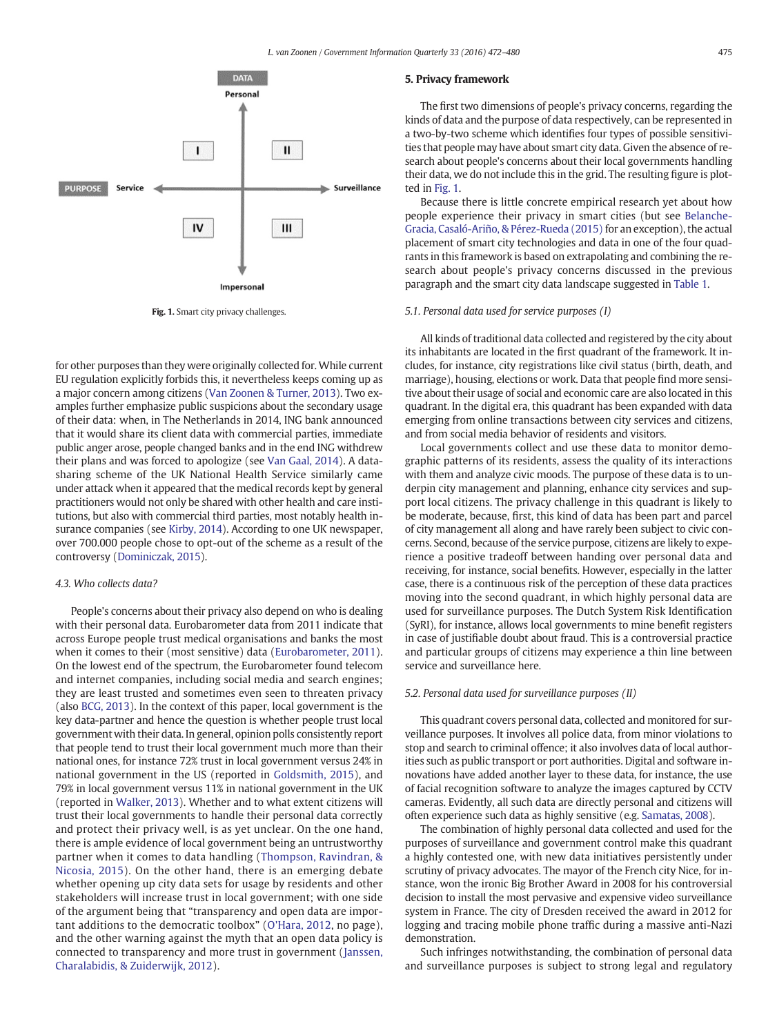

Fig. 1. Smart city privacy challenges.

for other purposes than they were originally collected for. While current EU regulation explicitly forbids this, it nevertheless keeps coming up as a major concern among citizens [\(Van Zoonen & Turner, 2013\)](#page-8-0). Two examples further emphasize public suspicions about the secondary usage of their data: when, in The Netherlands in 2014, ING bank announced that it would share its client data with commercial parties, immediate public anger arose, people changed banks and in the end ING withdrew their plans and was forced to apologize (see [Van Gaal, 2014\)](#page-8-0). A datasharing scheme of the UK National Health Service similarly came under attack when it appeared that the medical records kept by general practitioners would not only be shared with other health and care institutions, but also with commercial third parties, most notably health insurance companies (see [Kirby, 2014](#page-7-0)). According to one UK newspaper, over 700.000 people chose to opt-out of the scheme as a result of the controversy [\(Dominiczak, 2015\)](#page-7-0).

#### 4.3. Who collects data?

People's concerns about their privacy also depend on who is dealing with their personal data. Eurobarometer data from 2011 indicate that across Europe people trust medical organisations and banks the most when it comes to their (most sensitive) data ([Eurobarometer, 2011](#page-7-0)). On the lowest end of the spectrum, the Eurobarometer found telecom and internet companies, including social media and search engines; they are least trusted and sometimes even seen to threaten privacy (also [BCG, 2013](#page-7-0)). In the context of this paper, local government is the key data-partner and hence the question is whether people trust local government with their data. In general, opinion polls consistently report that people tend to trust their local government much more than their national ones, for instance 72% trust in local government versus 24% in national government in the US (reported in [Goldsmith, 2015\)](#page-7-0), and 79% in local government versus 11% in national government in the UK (reported in [Walker, 2013](#page-8-0)). Whether and to what extent citizens will trust their local governments to handle their personal data correctly and protect their privacy well, is as yet unclear. On the one hand, there is ample evidence of local government being an untrustworthy partner when it comes to data handling ([Thompson, Ravindran, &](#page-8-0) [Nicosia, 2015\)](#page-8-0). On the other hand, there is an emerging debate whether opening up city data sets for usage by residents and other stakeholders will increase trust in local government; with one side of the argument being that "transparency and open data are important additions to the democratic toolbox" ([O'Hara, 2012](#page-7-0), no page), and the other warning against the myth that an open data policy is connected to transparency and more trust in government ([Janssen,](#page-7-0) [Charalabidis, & Zuiderwijk, 2012\)](#page-7-0).

#### 5. Privacy framework

The first two dimensions of people's privacy concerns, regarding the kinds of data and the purpose of data respectively, can be represented in a two-by-two scheme which identifies four types of possible sensitivities that people may have about smart city data. Given the absence of research about people's concerns about their local governments handling their data, we do not include this in the grid. The resulting figure is plotted in Fig. 1.

Because there is little concrete empirical research yet about how people experience their privacy in smart cities (but see [Belanche-](#page-7-0)[Gracia, Casaló-Ariño, & Pérez-Rueda \(2015\)](#page-7-0) for an exception), the actual placement of smart city technologies and data in one of the four quadrants in this framework is based on extrapolating and combining the research about people's privacy concerns discussed in the previous paragraph and the smart city data landscape suggested in [Table 1](#page-2-0).

#### 5.1. Personal data used for service purposes (I)

All kinds of traditional data collected and registered by the city about its inhabitants are located in the first quadrant of the framework. It includes, for instance, city registrations like civil status (birth, death, and marriage), housing, elections or work. Data that people find more sensitive about their usage of social and economic care are also located in this quadrant. In the digital era, this quadrant has been expanded with data emerging from online transactions between city services and citizens, and from social media behavior of residents and visitors.

Local governments collect and use these data to monitor demographic patterns of its residents, assess the quality of its interactions with them and analyze civic moods. The purpose of these data is to underpin city management and planning, enhance city services and support local citizens. The privacy challenge in this quadrant is likely to be moderate, because, first, this kind of data has been part and parcel of city management all along and have rarely been subject to civic concerns. Second, because of the service purpose, citizens are likely to experience a positive tradeoff between handing over personal data and receiving, for instance, social benefits. However, especially in the latter case, there is a continuous risk of the perception of these data practices moving into the second quadrant, in which highly personal data are used for surveillance purposes. The Dutch System Risk Identification (SyRI), for instance, allows local governments to mine benefit registers in case of justifiable doubt about fraud. This is a controversial practice and particular groups of citizens may experience a thin line between service and surveillance here.

#### 5.2. Personal data used for surveillance purposes (II)

This quadrant covers personal data, collected and monitored for surveillance purposes. It involves all police data, from minor violations to stop and search to criminal offence; it also involves data of local authorities such as public transport or port authorities. Digital and software innovations have added another layer to these data, for instance, the use of facial recognition software to analyze the images captured by CCTV cameras. Evidently, all such data are directly personal and citizens will often experience such data as highly sensitive (e.g. [Samatas, 2008](#page-8-0)).

The combination of highly personal data collected and used for the purposes of surveillance and government control make this quadrant a highly contested one, with new data initiatives persistently under scrutiny of privacy advocates. The mayor of the French city Nice, for instance, won the ironic Big Brother Award in 2008 for his controversial decision to install the most pervasive and expensive video surveillance system in France. The city of Dresden received the award in 2012 for logging and tracing mobile phone traffic during a massive anti-Nazi demonstration.

Such infringes notwithstanding, the combination of personal data and surveillance purposes is subject to strong legal and regulatory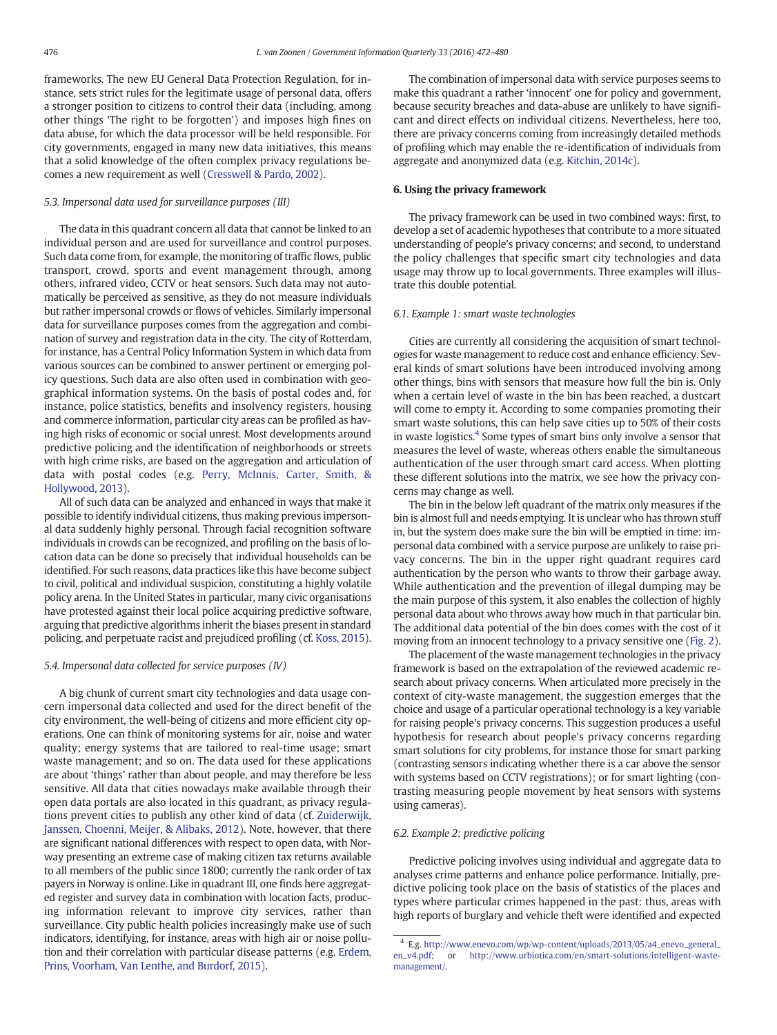frameworks. The new EU General Data Protection Regulation, for instance, sets strict rules for the legitimate usage of personal data, offers a stronger position to citizens to control their data (including, among other things 'The right to be forgotten') and imposes high fines on data abuse, for which the data processor will be held responsible. For city governments, engaged in many new data initiatives, this means that a solid knowledge of the often complex privacy regulations becomes a new requirement as well [\(Cresswell & Pardo, 2002\)](#page-7-0).

#### 5.3. Impersonal data used for surveillance purposes (III)

The data in this quadrant concern all data that cannot be linked to an individual person and are used for surveillance and control purposes. Such data come from, for example, the monitoring of traffic flows, public transport, crowd, sports and event management through, among others, infrared video, CCTV or heat sensors. Such data may not automatically be perceived as sensitive, as they do not measure individuals but rather impersonal crowds or flows of vehicles. Similarly impersonal data for surveillance purposes comes from the aggregation and combination of survey and registration data in the city. The city of Rotterdam, for instance, has a Central Policy Information System in which data from various sources can be combined to answer pertinent or emerging policy questions. Such data are also often used in combination with geographical information systems. On the basis of postal codes and, for instance, police statistics, benefits and insolvency registers, housing and commerce information, particular city areas can be profiled as having high risks of economic or social unrest. Most developments around predictive policing and the identification of neighborhoods or streets with high crime risks, are based on the aggregation and articulation of data with postal codes (e.g. [Perry, McInnis, Carter, Smith, &](#page-7-0) [Hollywood, 2013](#page-7-0)).

All of such data can be analyzed and enhanced in ways that make it possible to identify individual citizens, thus making previous impersonal data suddenly highly personal. Through facial recognition software individuals in crowds can be recognized, and profiling on the basis of location data can be done so precisely that individual households can be identified. For such reasons, data practices like this have become subject to civil, political and individual suspicion, constituting a highly volatile policy arena. In the United States in particular, many civic organisations have protested against their local police acquiring predictive software, arguing that predictive algorithms inherit the biases present in standard policing, and perpetuate racist and prejudiced profiling (cf. [Koss, 2015\)](#page-7-0).

#### 5.4. Impersonal data collected for service purposes (IV)

A big chunk of current smart city technologies and data usage concern impersonal data collected and used for the direct benefit of the city environment, the well-being of citizens and more efficient city operations. One can think of monitoring systems for air, noise and water quality; energy systems that are tailored to real-time usage; smart waste management; and so on. The data used for these applications are about 'things' rather than about people, and may therefore be less sensitive. All data that cities nowadays make available through their open data portals are also located in this quadrant, as privacy regulations prevent cities to publish any other kind of data (cf. [Zuiderwijk,](#page-8-0) [Janssen, Choenni, Meijer, & Alibaks, 2012\)](#page-8-0). Note, however, that there are significant national differences with respect to open data, with Norway presenting an extreme case of making citizen tax returns available to all members of the public since 1800; currently the rank order of tax payers in Norway is online. Like in quadrant III, one finds here aggregated register and survey data in combination with location facts, producing information relevant to improve city services, rather than surveillance. City public health policies increasingly make use of such indicators, identifying, for instance, areas with high air or noise pollution and their correlation with particular disease patterns (e.g. [Erdem,](#page-7-0) [Prins, Voorham, Van Lenthe, and Burdorf, 2015\)](#page-7-0).

The combination of impersonal data with service purposes seems to make this quadrant a rather 'innocent' one for policy and government, because security breaches and data-abuse are unlikely to have significant and direct effects on individual citizens. Nevertheless, here too, there are privacy concerns coming from increasingly detailed methods of profiling which may enable the re-identification of individuals from aggregate and anonymized data (e.g. [Kitchin, 2014c](#page-7-0)).

#### 6. Using the privacy framework

The privacy framework can be used in two combined ways: first, to develop a set of academic hypotheses that contribute to a more situated understanding of people's privacy concerns; and second, to understand the policy challenges that specific smart city technologies and data usage may throw up to local governments. Three examples will illustrate this double potential.

### 6.1. Example 1: smart waste technologies

Cities are currently all considering the acquisition of smart technologies for waste management to reduce cost and enhance efficiency. Several kinds of smart solutions have been introduced involving among other things, bins with sensors that measure how full the bin is. Only when a certain level of waste in the bin has been reached, a dustcart will come to empty it. According to some companies promoting their smart waste solutions, this can help save cities up to 50% of their costs in waste logistics.<sup>4</sup> Some types of smart bins only involve a sensor that measures the level of waste, whereas others enable the simultaneous authentication of the user through smart card access. When plotting these different solutions into the matrix, we see how the privacy concerns may change as well.

The bin in the below left quadrant of the matrix only measures if the bin is almost full and needs emptying. It is unclear who has thrown stuff in, but the system does make sure the bin will be emptied in time: impersonal data combined with a service purpose are unlikely to raise privacy concerns. The bin in the upper right quadrant requires card authentication by the person who wants to throw their garbage away. While authentication and the prevention of illegal dumping may be the main purpose of this system, it also enables the collection of highly personal data about who throws away how much in that particular bin. The additional data potential of the bin does comes with the cost of it moving from an innocent technology to a privacy sensitive one [\(Fig. 2\)](#page-5-0).

The placement of the waste management technologies in the privacy framework is based on the extrapolation of the reviewed academic research about privacy concerns. When articulated more precisely in the context of city-waste management, the suggestion emerges that the choice and usage of a particular operational technology is a key variable for raising people's privacy concerns. This suggestion produces a useful hypothesis for research about people's privacy concerns regarding smart solutions for city problems, for instance those for smart parking (contrasting sensors indicating whether there is a car above the sensor with systems based on CCTV registrations); or for smart lighting (contrasting measuring people movement by heat sensors with systems using cameras).

#### 6.2. Example 2: predictive policing

Predictive policing involves using individual and aggregate data to analyses crime patterns and enhance police performance. Initially, predictive policing took place on the basis of statistics of the places and types where particular crimes happened in the past: thus, areas with high reports of burglary and vehicle theft were identified and expected

<sup>4</sup> E.g. [http://www.enevo.com/wp/wp-content/uploads/2013/05/a4\\_enevo\\_general\\_](http://www.enevo.com/wp/wp-content/uploads/2013/05/a4_enevo_general_en_v4.pdf) [en\\_v4.pdf;](http://www.enevo.com/wp/wp-content/uploads/2013/05/a4_enevo_general_en_v4.pdf) or [http://www.urbiotica.com/en/smart-solutions/intelligent-waste](http://www.urbiotica.com/en/smart-solutions/intelligent-waste-management/)[management/](http://www.urbiotica.com/en/smart-solutions/intelligent-waste-management/).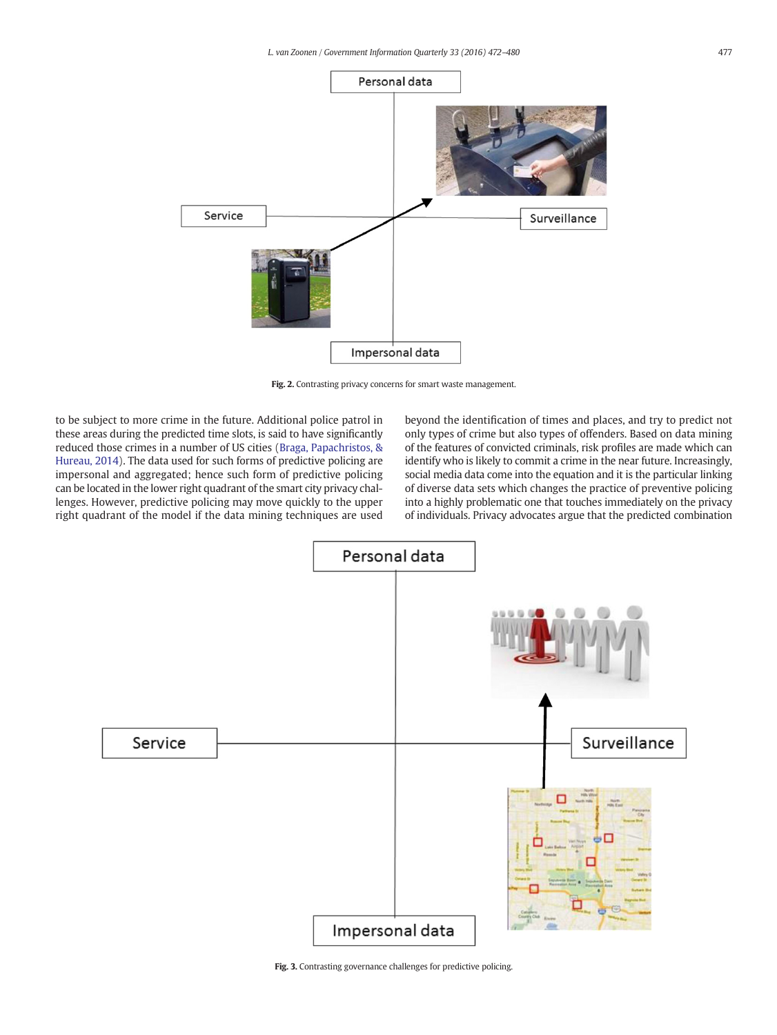<span id="page-5-0"></span>

Fig. 2. Contrasting privacy concerns for smart waste management.

to be subject to more crime in the future. Additional police patrol in these areas during the predicted time slots, is said to have significantly reduced those crimes in a number of US cities [\(Braga, Papachristos, &](#page-7-0) [Hureau, 2014\)](#page-7-0). The data used for such forms of predictive policing are impersonal and aggregated; hence such form of predictive policing can be located in the lower right quadrant of the smart city privacy challenges. However, predictive policing may move quickly to the upper right quadrant of the model if the data mining techniques are used beyond the identification of times and places, and try to predict not only types of crime but also types of offenders. Based on data mining of the features of convicted criminals, risk profiles are made which can identify who is likely to commit a crime in the near future. Increasingly, social media data come into the equation and it is the particular linking of diverse data sets which changes the practice of preventive policing into a highly problematic one that touches immediately on the privacy of individuals. Privacy advocates argue that the predicted combination



Fig. 3. Contrasting governance challenges for predictive policing.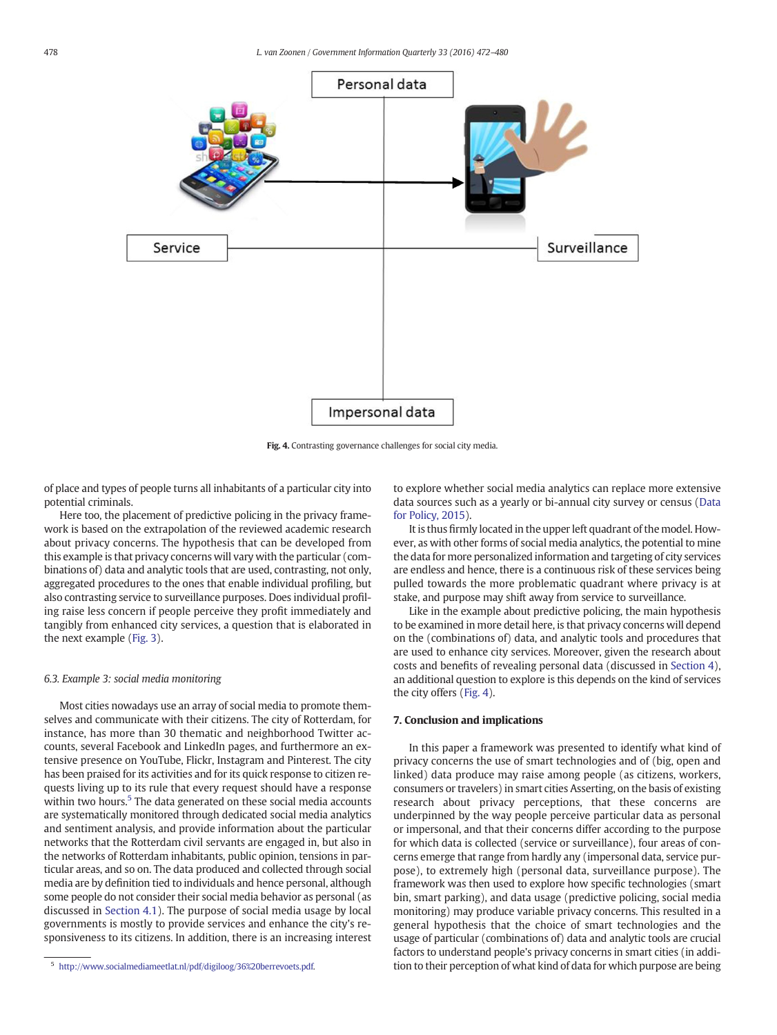

Fig. 4. Contrasting governance challenges for social city media.

of place and types of people turns all inhabitants of a particular city into potential criminals.

Here too, the placement of predictive policing in the privacy framework is based on the extrapolation of the reviewed academic research about privacy concerns. The hypothesis that can be developed from this example is that privacy concerns will vary with the particular (combinations of) data and analytic tools that are used, contrasting, not only, aggregated procedures to the ones that enable individual profiling, but also contrasting service to surveillance purposes. Does individual profiling raise less concern if people perceive they profit immediately and tangibly from enhanced city services, a question that is elaborated in the next example [\(Fig. 3\)](#page-5-0).

#### 6.3. Example 3: social media monitoring

Most cities nowadays use an array of social media to promote themselves and communicate with their citizens. The city of Rotterdam, for instance, has more than 30 thematic and neighborhood Twitter accounts, several Facebook and LinkedIn pages, and furthermore an extensive presence on YouTube, Flickr, Instagram and Pinterest. The city has been praised for its activities and for its quick response to citizen requests living up to its rule that every request should have a response within two hours.<sup>5</sup> The data generated on these social media accounts are systematically monitored through dedicated social media analytics and sentiment analysis, and provide information about the particular networks that the Rotterdam civil servants are engaged in, but also in the networks of Rotterdam inhabitants, public opinion, tensions in particular areas, and so on. The data produced and collected through social media are by definition tied to individuals and hence personal, although some people do not consider their social media behavior as personal (as discussed in [Section 4.1\)](#page-2-0). The purpose of social media usage by local governments is mostly to provide services and enhance the city's responsiveness to its citizens. In addition, there is an increasing interest to explore whether social media analytics can replace more extensive data sources such as a yearly or bi-annual city survey or census [\(Data](#page-7-0) [for Policy, 2015\)](#page-7-0).

It is thus firmly located in the upper left quadrant of the model. However, as with other forms of social media analytics, the potential to mine the data for more personalized information and targeting of city services are endless and hence, there is a continuous risk of these services being pulled towards the more problematic quadrant where privacy is at stake, and purpose may shift away from service to surveillance.

Like in the example about predictive policing, the main hypothesis to be examined in more detail here, is that privacy concerns will depend on the (combinations of) data, and analytic tools and procedures that are used to enhance city services. Moreover, given the research about costs and benefits of revealing personal data (discussed in [Section 4](#page-2-0)), an additional question to explore is this depends on the kind of services the city offers (Fig. 4).

#### 7. Conclusion and implications

In this paper a framework was presented to identify what kind of privacy concerns the use of smart technologies and of (big, open and linked) data produce may raise among people (as citizens, workers, consumers or travelers) in smart cities Asserting, on the basis of existing research about privacy perceptions, that these concerns are underpinned by the way people perceive particular data as personal or impersonal, and that their concerns differ according to the purpose for which data is collected (service or surveillance), four areas of concerns emerge that range from hardly any (impersonal data, service purpose), to extremely high (personal data, surveillance purpose). The framework was then used to explore how specific technologies (smart bin, smart parking), and data usage (predictive policing, social media monitoring) may produce variable privacy concerns. This resulted in a general hypothesis that the choice of smart technologies and the usage of particular (combinations of) data and analytic tools are crucial factors to understand people's privacy concerns in smart cities (in addition to their perception of what kind of data for which purpose are being <sup>5</sup> <http://www.socialmediameetlat.nl/pdf/digiloog/36%20berrevoets.pdf>.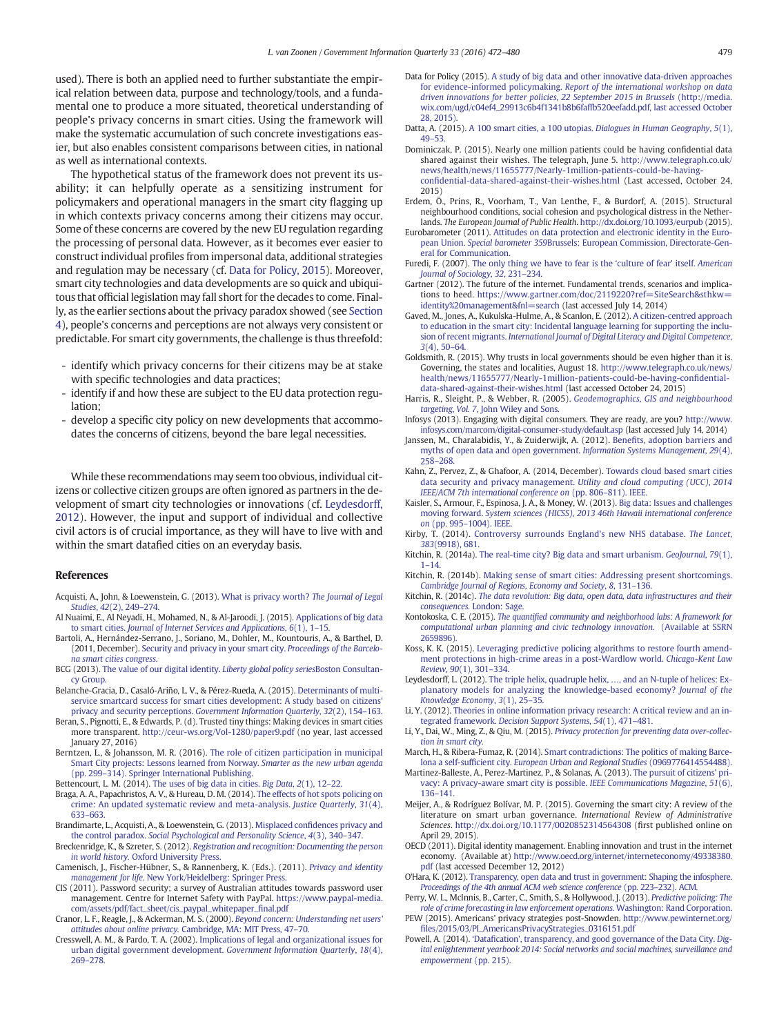<span id="page-7-0"></span>used). There is both an applied need to further substantiate the empirical relation between data, purpose and technology/tools, and a fundamental one to produce a more situated, theoretical understanding of people's privacy concerns in smart cities. Using the framework will make the systematic accumulation of such concrete investigations easier, but also enables consistent comparisons between cities, in national as well as international contexts.

The hypothetical status of the framework does not prevent its usability; it can helpfully operate as a sensitizing instrument for policymakers and operational managers in the smart city flagging up in which contexts privacy concerns among their citizens may occur. Some of these concerns are covered by the new EU regulation regarding the processing of personal data. However, as it becomes ever easier to construct individual profiles from impersonal data, additional strategies and regulation may be necessary (cf. Data for Policy, 2015). Moreover, smart city technologies and data developments are so quick and ubiquitous that official legislation may fall short for the decades to come. Finally, as the earlier sections about the privacy paradox showed (see [Section](#page-2-0) [4](#page-2-0)), people's concerns and perceptions are not always very consistent or predictable. For smart city governments, the challenge is thus threefold:

- identify which privacy concerns for their citizens may be at stake with specific technologies and data practices;
- identify if and how these are subject to the EU data protection regulation;
- develop a specific city policy on new developments that accommodates the concerns of citizens, beyond the bare legal necessities.

While these recommendations may seem too obvious, individual citizens or collective citizen groups are often ignored as partners in the development of smart city technologies or innovations (cf. Leydesdorff, 2012). However, the input and support of individual and collective civil actors is of crucial importance, as they will have to live with and within the smart datafied cities on an everyday basis.

#### References

- Acquisti, A., John, & Loewenstein, G. (2013). [What is privacy worth?](http://refhub.elsevier.com/S0740-624X(16)30081-8/rf0005) The Journal of Legal Studies, 42[\(2\), 249](http://refhub.elsevier.com/S0740-624X(16)30081-8/rf0005)–274.
- Al Nuaimi, E., Al Neyadi, H., Mohamed, N., & Al-Jaroodi, J. (2015). [Applications of big data](http://refhub.elsevier.com/S0740-624X(16)30081-8/rf0010) to smart cities. [Journal of Internet Services and Applications](http://refhub.elsevier.com/S0740-624X(16)30081-8/rf0010), 6(1), 1–15.
- Bartoli, A., Hernández-Serrano, J., Soriano, M., Dohler, M., Kountouris, A., & Barthel, D. (2011, December). [Security and privacy in your smart city.](http://refhub.elsevier.com/S0740-624X(16)30081-8/rf0015) Proceedings of the Barcelo[na smart cities congress](http://refhub.elsevier.com/S0740-624X(16)30081-8/rf0015).
- BCG (2013). [The value of our digital identity.](http://refhub.elsevier.com/S0740-624X(16)30081-8/rf0020) Liberty global policy seriesBoston Consultan[cy Group.](http://refhub.elsevier.com/S0740-624X(16)30081-8/rf0020)
- Belanche-Gracia, D., Casaló-Ariño, L. V., & Pérez-Rueda, A. (2015). [Determinants of multi](http://refhub.elsevier.com/S0740-624X(16)30081-8/rf0025)[service smartcard success for smart cities development: A study based on citizens'](http://refhub.elsevier.com/S0740-624X(16)30081-8/rf0025) privacy and security perceptions. [Government Information Quarterly](http://refhub.elsevier.com/S0740-624X(16)30081-8/rf0025), 32(2), 154–163.
- Beran, S., Pignotti, E., & Edwards, P. (d). Trusted tiny things: Making devices in smart cities more transparent. <http://ceur-ws.org/Vol-1280/paper9.pdf> (no year, last accessed January 27, 2016)
- Berntzen, L., & Johansson, M. R. (2016). [The role of citizen participation in municipal](http://refhub.elsevier.com/S0740-624X(16)30081-8/rf0035) [Smart City projects: Lessons learned from Norway.](http://refhub.elsevier.com/S0740-624X(16)30081-8/rf0035) Smarter as the new urban agenda (pp. 299–[314\). Springer International Publishing.](http://refhub.elsevier.com/S0740-624X(16)30081-8/rf0035)
- Bettencourt, L. M. (2014). [The uses of big data in cities.](http://refhub.elsevier.com/S0740-624X(16)30081-8/rf0040) Big Data, 2(1), 12–22.
- Braga, A. A., Papachristos, A. V., & Hureau, D. M. (2014). [The effects of hot spots policing on](http://refhub.elsevier.com/S0740-624X(16)30081-8/rf0050) [crime: An updated systematic review and meta-analysis.](http://refhub.elsevier.com/S0740-624X(16)30081-8/rf0050) Justice Quarterly, 31(4), 633–[663.](http://refhub.elsevier.com/S0740-624X(16)30081-8/rf0050)
- Brandimarte, L., Acquisti, A., & Loewenstein, G. (2013). Misplaced confi[dences privacy and](http://refhub.elsevier.com/S0740-624X(16)30081-8/rf0055) the control paradox. [Social Psychological and Personality Science](http://refhub.elsevier.com/S0740-624X(16)30081-8/rf0055), 4(3), 340–347.
- Breckenridge, K., & Szreter, S. (2012). [Registration and recognition: Documenting the person](http://refhub.elsevier.com/S0740-624X(16)30081-8/rf0060) in world history. [Oxford University Press.](http://refhub.elsevier.com/S0740-624X(16)30081-8/rf0060)
- Camenisch, J., Fischer-Hübner, S., & Rannenberg, K. (Eds.). (2011). [Privacy and identity](http://refhub.elsevier.com/S0740-624X(16)30081-8/rf0065) management for life[. New York/Heidelberg: Springer Press.](http://refhub.elsevier.com/S0740-624X(16)30081-8/rf0065)
- CIS (2011). Password security; a survey of Australian attitudes towards password user management. Centre for Internet Safety with PayPal. [https://www.paypal-media.](https://www.paypal-media.com/assets/pdf/fact_sheet/cis_paypal_whitepaper_final.pdf) [com/assets/pdf/fact\\_sheet/cis\\_paypal\\_whitepaper\\_](https://www.paypal-media.com/assets/pdf/fact_sheet/cis_paypal_whitepaper_final.pdf)final.pdf
- Cranor, L. F., Reagle, J., & Ackerman, M. S. (2000). [Beyond concern: Understanding net users'](http://refhub.elsevier.com/S0740-624X(16)30081-8/rf0075) attitudes about online privacy. [Cambridge, MA: MIT Press, 47](http://refhub.elsevier.com/S0740-624X(16)30081-8/rf0075)–70.
- Cresswell, A. M., & Pardo, T. A. (2002). [Implications of legal and organizational issues for](http://refhub.elsevier.com/S0740-624X(16)30081-8/rf0080) urban digital government development. [Government Information Quarterly](http://refhub.elsevier.com/S0740-624X(16)30081-8/rf0080), 18(4), 269–[278.](http://refhub.elsevier.com/S0740-624X(16)30081-8/rf0080)
- Data for Policy (2015). [A study of big data and other innovative data-driven approaches](http://refhub.elsevier.com/S0740-624X(16)30081-8/rf0085) for evidence-informed policymaking. [Report of the international workshop on data](http://refhub.elsevier.com/S0740-624X(16)30081-8/rf0085) [driven innovations for better policies, 22 September 2015 in Brussels](http://refhub.elsevier.com/S0740-624X(16)30081-8/rf0085) (http://media. [wix.com/ugd/c04ef4\\_29913c6b4f1341b8b6faffb520eefadd.pdf, last accessed October](http://refhub.elsevier.com/S0740-624X(16)30081-8/rf0085) [28, 2015\).](http://refhub.elsevier.com/S0740-624X(16)30081-8/rf0085)
- Datta, A. (2015). [A 100 smart cities, a 100 utopias.](http://refhub.elsevier.com/S0740-624X(16)30081-8/rf0090) Dialogues in Human Geography, 5(1), 49–[53.](http://refhub.elsevier.com/S0740-624X(16)30081-8/rf0090)
- Dominiczak, P. (2015). Nearly one million patients could be having confidential data shared against their wishes. The telegraph, June 5. [http://www.telegraph.co.uk/](http://www.telegraph.co.uk/news/health/news/11655777/Nearly-1million-patients-could-be-having-confidential-data-shared-against-their-wishes.html) [news/health/news/11655777/Nearly-1million-patients-could-be-having](http://www.telegraph.co.uk/news/health/news/11655777/Nearly-1million-patients-could-be-having-confidential-data-shared-against-their-wishes.html)confi[dential-data-shared-against-their-wishes.html](http://www.telegraph.co.uk/news/health/news/11655777/Nearly-1million-patients-could-be-having-confidential-data-shared-against-their-wishes.html) (Last accessed, October 24, 2015)
- Erdem, Ö., Prins, R., Voorham, T., Van Lenthe, F., & Burdorf, A. (2015). Structural neighbourhood conditions, social cohesion and psychological distress in the Netherlands. The European Journal of Public Health. http://dx.doi.org/[10.1093/eurpub](http://dx.doi.org/10.1093/eurpub) (2015).
- Eurobarometer (2011). [Attitudes on data protection and electronic identity in the Euro](http://refhub.elsevier.com/S0740-624X(16)30081-8/rf0110)pean Union. Special barometer 359[Brussels: European Commission, Directorate-Gen](http://refhub.elsevier.com/S0740-624X(16)30081-8/rf0110)[eral for Communication.](http://refhub.elsevier.com/S0740-624X(16)30081-8/rf0110)
- Furedi, F. (2007). [The only thing we have to fear is the](http://refhub.elsevier.com/S0740-624X(16)30081-8/rf0115) 'culture of fear' itself. American [Journal of Sociology](http://refhub.elsevier.com/S0740-624X(16)30081-8/rf0115), 32, 231–234.
- Gartner (2012). The future of the internet. Fundamental trends, scenarios and implications to heed. [https://www.gartner.com/doc/2119220?ref=SiteSearch&sthkw=](https://www.gartner.com/doc/2119220?ref=iteSearch&sthkwdentity%20management&fnl=earch) [identity%20management&fnl=search](https://www.gartner.com/doc/2119220?ref=iteSearch&sthkwdentity%20management&fnl=earch) (last accessed July 14, 2014)
- Gaved, M., Jones, A., Kukulska-Hulme, A., & Scanlon, E. (2012). [A citizen-centred approach](http://refhub.elsevier.com/S0740-624X(16)30081-8/rf0125) [to education in the smart city: Incidental language learning for supporting the inclu](http://refhub.elsevier.com/S0740-624X(16)30081-8/rf0125)sion of recent migrants. [International Journal of Digital Literacy and Digital Competence](http://refhub.elsevier.com/S0740-624X(16)30081-8/rf0125), 3[\(4\), 50](http://refhub.elsevier.com/S0740-624X(16)30081-8/rf0125)–64.
- Goldsmith, R. (2015). Why trusts in local governments should be even higher than it is. Governing, the states and localities, August 18. [http://www.telegraph.co.uk/news/](http://www.telegraph.co.uk/news/health/news/11655777/Nearly-1million-patients-could-be-having-confidential-data-shared-against-their-wishes.html) [health/news/11655777/Nearly-1million-patients-could-be-having-con](http://www.telegraph.co.uk/news/health/news/11655777/Nearly-1million-patients-could-be-having-confidential-data-shared-against-their-wishes.html)fidential[data-shared-against-their-wishes.html](http://www.telegraph.co.uk/news/health/news/11655777/Nearly-1million-patients-could-be-having-confidential-data-shared-against-their-wishes.html) (last accessed October 24, 2015)
- Harris, R., Sleight, P., & Webber, R. (2005). [Geodemographics, GIS and neighbourhood](http://refhub.elsevier.com/S0740-624X(16)30081-8/rf0140) targeting, Vol. 7[, John Wiley and Sons.](http://refhub.elsevier.com/S0740-624X(16)30081-8/rf0140)
- Infosys (2013). Engaging with digital consumers. They are ready, are you? [http://www.](http://www.infosys.com/marcom/digital-consumer-study/default.asp) [infosys.com/marcom/digital-consumer-study/default.asp](http://www.infosys.com/marcom/digital-consumer-study/default.asp) (last accessed July 14, 2014)
- Janssen, M., Charalabidis, Y., & Zuiderwijk, A. (2012). Benefi[ts, adoption barriers and](http://refhub.elsevier.com/S0740-624X(16)30081-8/rf0155) [myths of open data and open government.](http://refhub.elsevier.com/S0740-624X(16)30081-8/rf0155) Information Systems Management, 29(4), 258–[268.](http://refhub.elsevier.com/S0740-624X(16)30081-8/rf0155)
- Kahn, Z., Pervez, Z., & Ghafoor, A. (2014, December). [Towards cloud based smart cities](http://refhub.elsevier.com/S0740-624X(16)30081-8/rf0160) data security and privacy management. [Utility and cloud computing \(UCC\), 2014](http://refhub.elsevier.com/S0740-624X(16)30081-8/rf0160) [IEEE/ACM 7th international conference on](http://refhub.elsevier.com/S0740-624X(16)30081-8/rf0160) (pp. 806–811). IEEE.
- Kaisler, S., Armour, F., Espinosa, J. A., & Money, W. (2013). [Big data: Issues and challenges](http://refhub.elsevier.com/S0740-624X(16)30081-8/rf0165) moving forward. [System sciences \(HICSS\), 2013 46th Hawaii international conference](http://refhub.elsevier.com/S0740-624X(16)30081-8/rf0165) on (pp. 995–[1004\). IEEE.](http://refhub.elsevier.com/S0740-624X(16)30081-8/rf0165)
- Kirby, T. (2014). [Controversy surrounds England's new NHS database.](http://refhub.elsevier.com/S0740-624X(16)30081-8/rf0170) The Lancet, 383[\(9918\), 681.](http://refhub.elsevier.com/S0740-624X(16)30081-8/rf0170)
- Kitchin, R. (2014a). [The real-time city? Big data and smart urbanism.](http://refhub.elsevier.com/S0740-624X(16)30081-8/rf0175) GeoJournal, 79(1), 1–[14.](http://refhub.elsevier.com/S0740-624X(16)30081-8/rf0175)
- Kitchin, R. (2014b). [Making sense of smart cities: Addressing present shortcomings.](http://refhub.elsevier.com/S0740-624X(16)30081-8/rf0180) [Cambridge Journal of Regions, Economy and Society](http://refhub.elsevier.com/S0740-624X(16)30081-8/rf0180), 8, 131–136.
- Kitchin, R. (2014c). [The data revolution: Big data, open data, data infrastructures and their](http://refhub.elsevier.com/S0740-624X(16)30081-8/rf0185) consequences. [London: Sage.](http://refhub.elsevier.com/S0740-624X(16)30081-8/rf0185)
- Kontokoska, C. E. (2015). The quantifi[ed community and neighborhood labs: A framework for](http://refhub.elsevier.com/S0740-624X(16)30081-8/rf0190) [computational urban planning and civic technology innovation.](http://refhub.elsevier.com/S0740-624X(16)30081-8/rf0190) (Available at SSRN [2659896\).](http://refhub.elsevier.com/S0740-624X(16)30081-8/rf0190)
- Koss, K. K. (2015). [Leveraging predictive policing algorithms to restore fourth amend](http://refhub.elsevier.com/S0740-624X(16)30081-8/rf0195)[ment protections in high-crime areas in a post-Wardlow world.](http://refhub.elsevier.com/S0740-624X(16)30081-8/rf0195) Chicago-Kent Law Review, 90[\(1\), 301](http://refhub.elsevier.com/S0740-624X(16)30081-8/rf0195)–334.
- Leydesdorff, L. (2012). [The triple helix, quadruple helix,](http://refhub.elsevier.com/S0740-624X(16)30081-8/rf0205) …, and an N-tuple of helices: Ex[planatory models for analyzing the knowledge-based economy?](http://refhub.elsevier.com/S0740-624X(16)30081-8/rf0205) Journal of the [Knowledge Economy](http://refhub.elsevier.com/S0740-624X(16)30081-8/rf0205), 3(1), 25–35.
- Li, Y. (2012). [Theories in online information privacy research: A critical review and an in](http://refhub.elsevier.com/S0740-624X(16)30081-8/rf0210)tegrated framework. [Decision Support Systems](http://refhub.elsevier.com/S0740-624X(16)30081-8/rf0210), 54(1), 471–481.
- Li, Y., Dai, W., Ming, Z., & Qiu, M. (2015). [Privacy protection for preventing data over-collec](http://refhub.elsevier.com/S0740-624X(16)30081-8/rf0215)[tion in smart city.](http://refhub.elsevier.com/S0740-624X(16)30081-8/rf0215)
- March, H., & Ribera-Fumaz, R. (2014). [Smart contradictions: The politics of making Barce](http://refhub.elsevier.com/S0740-624X(16)30081-8/rf0220)lona a self-sufficient city. [European Urban and Regional Studies](http://refhub.elsevier.com/S0740-624X(16)30081-8/rf0220) (0969776414554488).
- Martinez-Balleste, A., Perez-Martinez, P., & Solanas, A. (2013). [The pursuit of citizens' pri](http://refhub.elsevier.com/S0740-624X(16)30081-8/rf0225)[vacy: A privacy-aware smart city is possible.](http://refhub.elsevier.com/S0740-624X(16)30081-8/rf0225) IEEE Communications Magazine, 51(6), 136–[141.](http://refhub.elsevier.com/S0740-624X(16)30081-8/rf0225)
- Meijer, A., & Rodríguez Bolívar, M. P. (2015). Governing the smart city: A review of the literature on smart urban governance. International Review of Administrative Sciences. http://dx.doi.org/[10.1177/0020852314564308](http://dx.doi.org/10.1177/0020852314564308) (first published online on April 29, 2015).
- OECD (2011). Digital identity management. Enabling innovation and trust in the internet economy. (Available at) [http://www.oecd.org/internet/interneteconomy/49338380.](http://www.oecd.org/internet/interneteconomy/49338380.pdf) [pdf](http://www.oecd.org/internet/interneteconomy/49338380.pdf) (last accessed December 12, 2012)
- O'Hara, K. (2012). [Transparency, open data and trust in government: Shaping the infosphere.](http://refhub.elsevier.com/S0740-624X(16)30081-8/rf0245) [Proceedings of the 4th annual ACM web science conference](http://refhub.elsevier.com/S0740-624X(16)30081-8/rf0245) (pp. 223–232). ACM.
- Perry, W. L., McInnis, B., Carter, C., Smith, S., & Hollywood, J. (2013). [Predictive policing: The](http://refhub.elsevier.com/S0740-624X(16)30081-8/rf0250) [role of crime forecasting in law enforcement operations.](http://refhub.elsevier.com/S0740-624X(16)30081-8/rf0250) Washington: Rand Corporation. PEW (2015). Americans' privacy strategies post-Snowden. [http://www.pewinternet.org/](http://www.pewinternet.org/files/2015/03/PI_AmericansPrivacyStrategies_0316151.pdf)
- fi[les/2015/03/PI\\_AmericansPrivacyStrategies\\_0316151.pdf](http://www.pewinternet.org/files/2015/03/PI_AmericansPrivacyStrategies_0316151.pdf)
- Powell, A. (2014). 'Datafication'[, transparency, and good governance of the Data City.](http://refhub.elsevier.com/S0740-624X(16)30081-8/rf0260) Dig[ital enlightenment yearbook 2014: Social networks and social machines, surveillance and](http://refhub.elsevier.com/S0740-624X(16)30081-8/rf0260) [empowerment](http://refhub.elsevier.com/S0740-624X(16)30081-8/rf0260) (pp. 215).